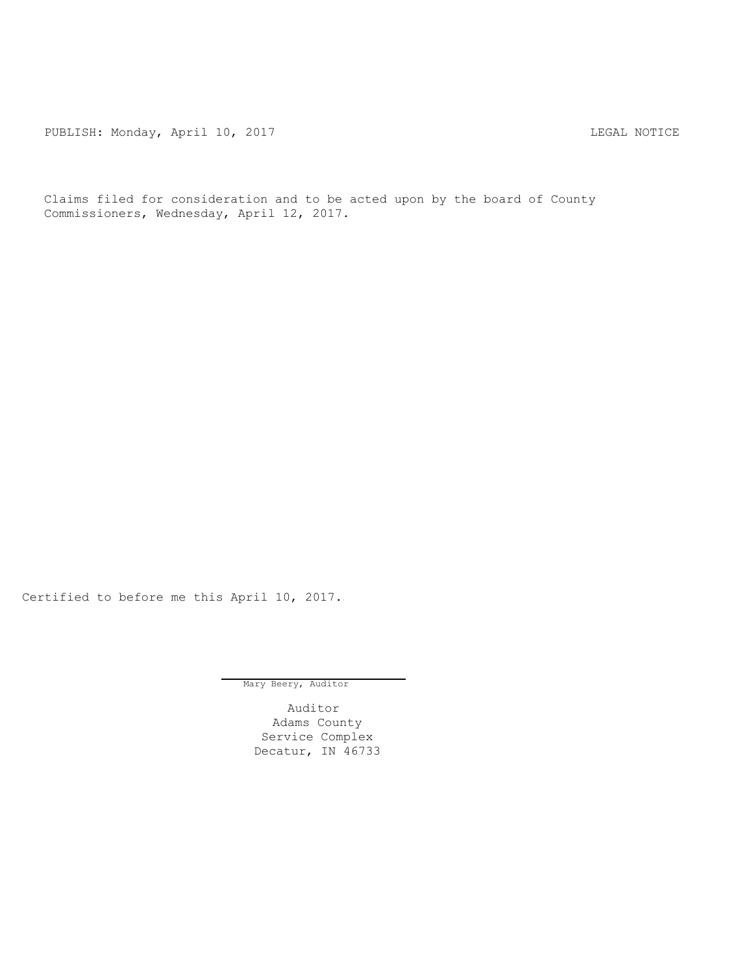PUBLISH: Monday, April 10, 2017 CHANGE CONSTRUCTED THE LEGAL NOTICE

Claims filed for consideration and to be acted upon by the board of County Commissioners, Wednesday, April 12, 2017.

Certified to before me this April 10, 2017.

Mary Beery, Auditor

Auditor Adams County Service Complex Decatur, IN 46733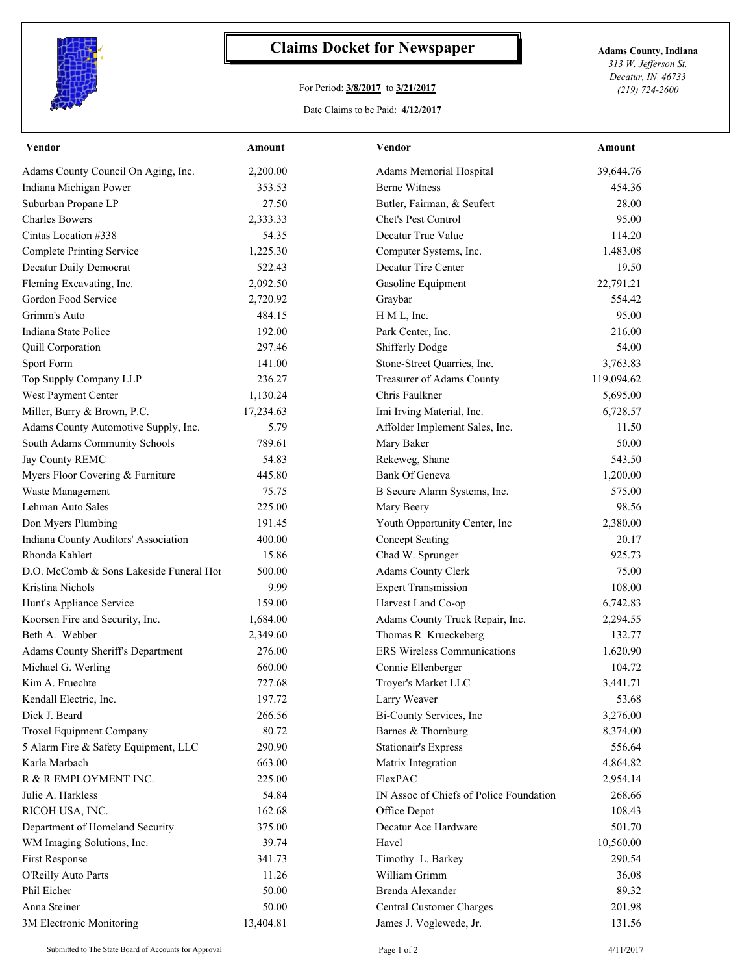

## **Claims Docket for Newspaper Adams County, Indiana**

## For Period: **3/8/2017** to **3/21/2017**

Date Claims to be Paid: **4/12/2017**

*313 W. Jefferson St. Decatur, IN 46733 (219) 724-2600*

| <b>Vendor</b>                                         | <b>Amount</b> | <b>Vendor</b>                           | <u>Amount</u> |
|-------------------------------------------------------|---------------|-----------------------------------------|---------------|
| Adams County Council On Aging, Inc.                   | 2,200.00      | Adams Memorial Hospital                 | 39,644.76     |
| Indiana Michigan Power                                | 353.53        | <b>Berne Witness</b>                    | 454.36        |
| Suburban Propane LP                                   | 27.50         | Butler, Fairman, & Seufert              | 28.00         |
| <b>Charles Bowers</b>                                 | 2,333.33      | Chet's Pest Control                     | 95.00         |
| Cintas Location #338                                  | 54.35         | Decatur True Value                      | 114.20        |
| <b>Complete Printing Service</b>                      | 1,225.30      | Computer Systems, Inc.                  | 1,483.08      |
| Decatur Daily Democrat                                | 522.43        | Decatur Tire Center                     | 19.50         |
| Fleming Excavating, Inc.                              | 2,092.50      | Gasoline Equipment                      | 22,791.21     |
| Gordon Food Service                                   | 2,720.92      | Graybar                                 | 554.42        |
| Grimm's Auto                                          | 484.15        | H M L, Inc.                             | 95.00         |
| Indiana State Police                                  | 192.00        | Park Center, Inc.                       | 216.00        |
| Quill Corporation                                     | 297.46        | Shifferly Dodge                         | 54.00         |
| Sport Form                                            | 141.00        | Stone-Street Quarries, Inc.             | 3,763.83      |
| Top Supply Company LLP                                | 236.27        | Treasurer of Adams County               | 119,094.62    |
| West Payment Center                                   | 1,130.24      | Chris Faulkner                          | 5,695.00      |
| Miller, Burry & Brown, P.C.                           | 17,234.63     | Imi Irving Material, Inc.               | 6,728.57      |
| Adams County Automotive Supply, Inc.                  | 5.79          | Affolder Implement Sales, Inc.          | 11.50         |
| South Adams Community Schools                         | 789.61        | Mary Baker                              | 50.00         |
| Jay County REMC                                       | 54.83         | Rekeweg, Shane                          | 543.50        |
| Myers Floor Covering & Furniture                      | 445.80        | Bank Of Geneva                          | 1,200.00      |
| Waste Management                                      | 75.75         | B Secure Alarm Systems, Inc.            | 575.00        |
| Lehman Auto Sales                                     | 225.00        | Mary Beery                              | 98.56         |
| Don Myers Plumbing                                    | 191.45        | Youth Opportunity Center, Inc           | 2,380.00      |
| Indiana County Auditors' Association                  | 400.00        | Concept Seating                         | 20.17         |
| Rhonda Kahlert                                        | 15.86         | Chad W. Sprunger                        | 925.73        |
| D.O. McComb & Sons Lakeside Funeral Hor               | 500.00        | Adams County Clerk                      | 75.00         |
| Kristina Nichols                                      | 9.99          | <b>Expert Transmission</b>              | 108.00        |
| Hunt's Appliance Service                              | 159.00        | Harvest Land Co-op                      | 6,742.83      |
| Koorsen Fire and Security, Inc.                       | 1,684.00      | Adams County Truck Repair, Inc.         | 2,294.55      |
| Beth A. Webber                                        | 2,349.60      | Thomas R Krueckeberg                    | 132.77        |
| Adams County Sheriff's Department                     | 276.00        | ERS Wireless Communications             | 1,620.90      |
| Michael G. Werling                                    | 660.00        | Connie Ellenberger                      | 104.72        |
| Kim A. Fruechte                                       | 727.68        | Troyer's Market LLC                     | 3,441.71      |
| Kendall Electric, Inc.                                | 197.72        | Larry Weaver                            | 53.68         |
| Dick J. Beard                                         | 266.56        | Bi-County Services, Inc                 | 3,276.00      |
| Troxel Equipment Company                              | 80.72         | Barnes & Thornburg                      | 8,374.00      |
|                                                       | 290.90        |                                         |               |
| 5 Alarm Fire & Safety Equipment, LLC<br>Karla Marbach | 663.00        | <b>Stationair's Express</b>             | 556.64        |
|                                                       |               | Matrix Integration                      | 4,864.82      |
| R & R EMPLOYMENT INC.                                 | 225.00        | FlexPAC                                 | 2,954.14      |
| Julie A. Harkless                                     | 54.84         | IN Assoc of Chiefs of Police Foundation | 268.66        |
| RICOH USA, INC.                                       | 162.68        | Office Depot                            | 108.43        |
| Department of Homeland Security                       | 375.00        | Decatur Ace Hardware                    | 501.70        |
| WM Imaging Solutions, Inc.                            | 39.74         | Havel                                   | 10,560.00     |
| First Response                                        | 341.73        | Timothy L. Barkey                       | 290.54        |
| O'Reilly Auto Parts                                   | 11.26         | William Grimm                           | 36.08         |
| Phil Eicher                                           | 50.00         | Brenda Alexander                        | 89.32         |
| Anna Steiner                                          | 50.00         | <b>Central Customer Charges</b>         | 201.98        |
| 3M Electronic Monitoring                              | 13,404.81     | James J. Voglewede, Jr.                 | 131.56        |